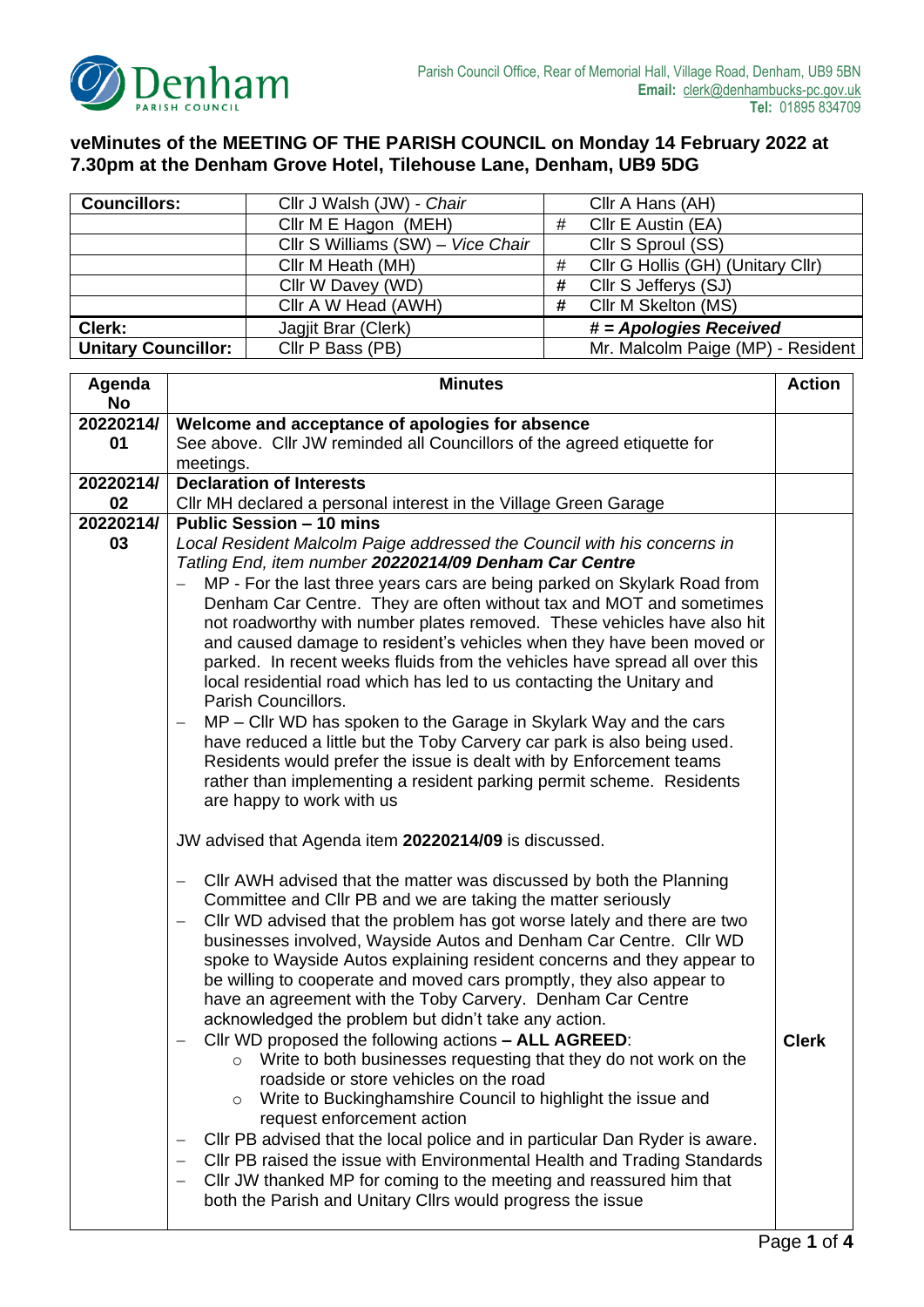

## **veMinutes of the MEETING OF THE PARISH COUNCIL on Monday 14 February 2022 at 7.30pm at the Denham Grove Hotel, Tilehouse Lane, Denham, UB9 5DG**

| <b>Councillors:</b>        | Cllr J Walsh (JW) - Chair         |   | Cllr A Hans (AH)                  |
|----------------------------|-----------------------------------|---|-----------------------------------|
|                            | Cllr M E Hagon (MEH)              | # | Cllr E Austin (EA)                |
|                            | Cllr S Williams (SW) - Vice Chair |   | Cllr S Sproul (SS)                |
|                            | Cllr M Heath (MH)                 | # | Cllr G Hollis (GH) (Unitary Cllr) |
|                            | Cllr W Davey (WD)                 | # | Cllr S Jefferys (SJ)              |
|                            | Cllr A W Head (AWH)               | # | Cllr M Skelton (MS)               |
| Clerk:                     | Jagjit Brar (Clerk)               |   | # = Apologies Received            |
| <b>Unitary Councillor:</b> | Cllr P Bass (PB)                  |   | Mr. Malcolm Paige (MP) - Resident |

| Agenda    | <b>Minutes</b>                                                                                                                      |              |  |
|-----------|-------------------------------------------------------------------------------------------------------------------------------------|--------------|--|
| <b>No</b> |                                                                                                                                     |              |  |
| 20220214/ | Welcome and acceptance of apologies for absence                                                                                     |              |  |
| 01        | See above. Cllr JW reminded all Councillors of the agreed etiquette for                                                             |              |  |
|           | meetings.                                                                                                                           |              |  |
| 20220214/ | <b>Declaration of Interests</b>                                                                                                     |              |  |
| 02        | CIIr MH declared a personal interest in the Village Green Garage                                                                    |              |  |
| 20220214/ | <b>Public Session - 10 mins</b>                                                                                                     |              |  |
| 03        | Local Resident Malcolm Paige addressed the Council with his concerns in                                                             |              |  |
|           | Tatling End, item number 20220214/09 Denham Car Centre                                                                              |              |  |
|           | MP - For the last three years cars are being parked on Skylark Road from                                                            |              |  |
|           | Denham Car Centre. They are often without tax and MOT and sometimes                                                                 |              |  |
|           | not roadworthy with number plates removed. These vehicles have also hit                                                             |              |  |
|           | and caused damage to resident's vehicles when they have been moved or                                                               |              |  |
|           | parked. In recent weeks fluids from the vehicles have spread all over this                                                          |              |  |
|           | local residential road which has led to us contacting the Unitary and                                                               |              |  |
|           | Parish Councillors.                                                                                                                 |              |  |
|           | MP – Cllr WD has spoken to the Garage in Skylark Way and the cars                                                                   |              |  |
|           | have reduced a little but the Toby Carvery car park is also being used.                                                             |              |  |
|           | Residents would prefer the issue is dealt with by Enforcement teams                                                                 |              |  |
|           | rather than implementing a resident parking permit scheme. Residents                                                                |              |  |
|           | are happy to work with us                                                                                                           |              |  |
|           | JW advised that Agenda item 20220214/09 is discussed.                                                                               |              |  |
|           | CIIr AWH advised that the matter was discussed by both the Planning<br>Committee and CIIr PB and we are taking the matter seriously |              |  |
|           | Cllr WD advised that the problem has got worse lately and there are two<br>—                                                        |              |  |
|           | businesses involved, Wayside Autos and Denham Car Centre. Cllr WD                                                                   |              |  |
|           | spoke to Wayside Autos explaining resident concerns and they appear to                                                              |              |  |
|           | be willing to cooperate and moved cars promptly, they also appear to                                                                |              |  |
|           | have an agreement with the Toby Carvery. Denham Car Centre                                                                          |              |  |
|           | acknowledged the problem but didn't take any action.                                                                                |              |  |
|           | Cllr WD proposed the following actions - ALL AGREED:                                                                                | <b>Clerk</b> |  |
|           | o Write to both businesses requesting that they do not work on the                                                                  |              |  |
|           | roadside or store vehicles on the road                                                                                              |              |  |
|           | Write to Buckinghamshire Council to highlight the issue and<br>$\circ$                                                              |              |  |
|           | request enforcement action                                                                                                          |              |  |
|           | CIIr PB advised that the local police and in particular Dan Ryder is aware.                                                         |              |  |
|           | CIIr PB raised the issue with Environmental Health and Trading Standards                                                            |              |  |
|           | CIIr JW thanked MP for coming to the meeting and reassured him that                                                                 |              |  |
|           |                                                                                                                                     |              |  |
|           | both the Parish and Unitary Cllrs would progress the issue                                                                          |              |  |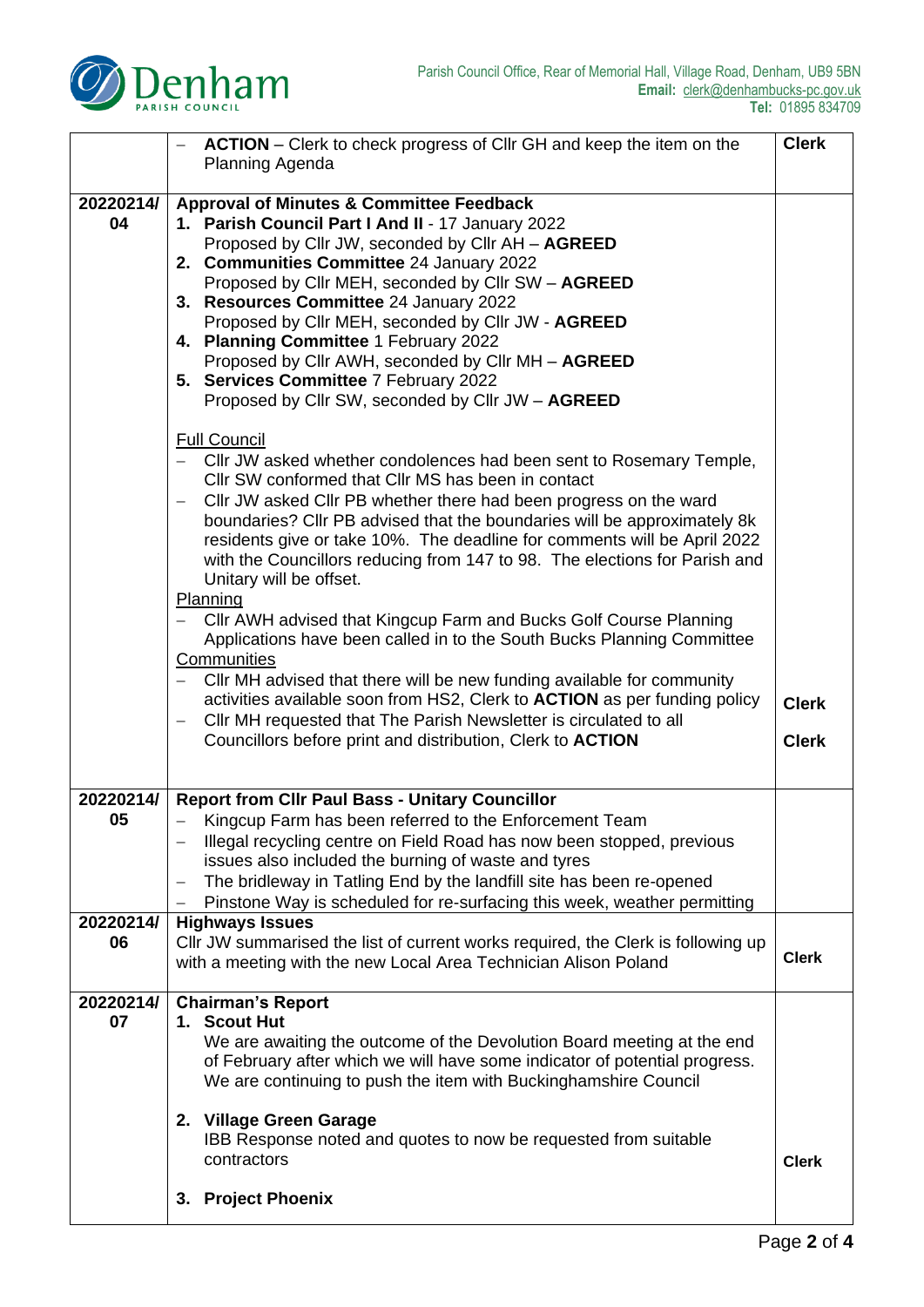

|           | <b>ACTION</b> – Clerk to check progress of Cllr GH and keep the item on the                                                                   |              |  |
|-----------|-----------------------------------------------------------------------------------------------------------------------------------------------|--------------|--|
|           | Planning Agenda                                                                                                                               |              |  |
| 20220214/ | <b>Approval of Minutes &amp; Committee Feedback</b>                                                                                           |              |  |
| 04        | 1. Parish Council Part I And II - 17 January 2022                                                                                             |              |  |
|           | Proposed by Cllr JW, seconded by Cllr AH - AGREED<br>2. Communities Committee 24 January 2022                                                 |              |  |
|           | Proposed by Cllr MEH, seconded by Cllr SW - AGREED                                                                                            |              |  |
|           | 3. Resources Committee 24 January 2022                                                                                                        |              |  |
|           | Proposed by Cllr MEH, seconded by Cllr JW - AGREED                                                                                            |              |  |
|           | 4. Planning Committee 1 February 2022                                                                                                         |              |  |
|           | Proposed by Cllr AWH, seconded by Cllr MH - AGREED<br>5. Services Committee 7 February 2022                                                   |              |  |
|           | Proposed by Cllr SW, seconded by Cllr JW - AGREED                                                                                             |              |  |
|           |                                                                                                                                               |              |  |
|           | <b>Full Council</b>                                                                                                                           |              |  |
|           | CIIr JW asked whether condolences had been sent to Rosemary Temple,                                                                           |              |  |
|           | CIIr SW conformed that CIIr MS has been in contact<br>Cllr JW asked Cllr PB whether there had been progress on the ward                       |              |  |
|           | boundaries? Cllr PB advised that the boundaries will be approximately 8k                                                                      |              |  |
|           | residents give or take 10%. The deadline for comments will be April 2022                                                                      |              |  |
|           | with the Councillors reducing from 147 to 98. The elections for Parish and                                                                    |              |  |
|           | Unitary will be offset.                                                                                                                       |              |  |
|           | Planning                                                                                                                                      |              |  |
|           | CIIr AWH advised that Kingcup Farm and Bucks Golf Course Planning<br>Applications have been called in to the South Bucks Planning Committee   |              |  |
|           | Communities                                                                                                                                   |              |  |
|           | CIIr MH advised that there will be new funding available for community                                                                        |              |  |
|           | activities available soon from HS2, Clerk to <b>ACTION</b> as per funding policy                                                              |              |  |
|           | CIIr MH requested that The Parish Newsletter is circulated to all<br>$\overline{\phantom{m}}$                                                 |              |  |
|           | Councillors before print and distribution, Clerk to ACTION                                                                                    | <b>Clerk</b> |  |
|           |                                                                                                                                               |              |  |
| 20220214/ | <b>Report from Cllr Paul Bass - Unitary Councillor</b>                                                                                        |              |  |
| 05        | Kingcup Farm has been referred to the Enforcement Team                                                                                        |              |  |
|           | Illegal recycling centre on Field Road has now been stopped, previous<br>issues also included the burning of waste and tyres                  |              |  |
|           | The bridleway in Tatling End by the landfill site has been re-opened<br>$\qquad \qquad -$                                                     |              |  |
|           | Pinstone Way is scheduled for re-surfacing this week, weather permitting                                                                      |              |  |
| 20220214/ | <b>Highways Issues</b>                                                                                                                        |              |  |
| 06        | CIIr JW summarised the list of current works required, the Clerk is following up                                                              | <b>Clerk</b> |  |
|           | with a meeting with the new Local Area Technician Alison Poland                                                                               |              |  |
| 20220214/ | <b>Chairman's Report</b>                                                                                                                      |              |  |
| 07        | 1. Scout Hut                                                                                                                                  |              |  |
|           | We are awaiting the outcome of the Devolution Board meeting at the end                                                                        |              |  |
|           | of February after which we will have some indicator of potential progress.<br>We are continuing to push the item with Buckinghamshire Council |              |  |
|           |                                                                                                                                               |              |  |
|           | 2. Village Green Garage                                                                                                                       |              |  |
|           | IBB Response noted and quotes to now be requested from suitable                                                                               |              |  |
|           | contractors                                                                                                                                   | <b>Clerk</b> |  |
|           | <b>Project Phoenix</b><br>3.                                                                                                                  |              |  |
|           |                                                                                                                                               |              |  |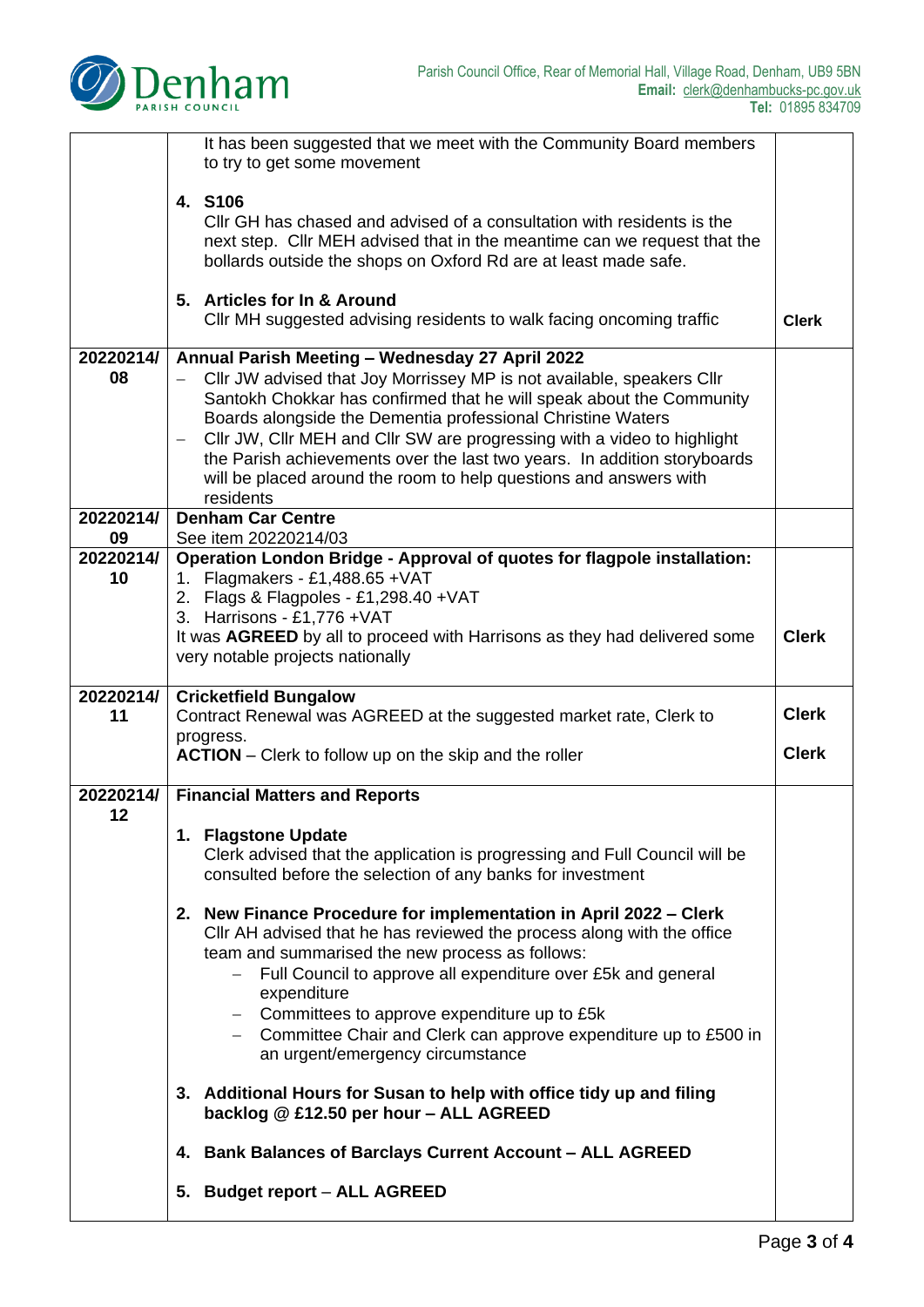

|                 | It has been suggested that we meet with the Community Board members<br>to try to get some movement                                                                                                                                                                                                                                                                                                                                                                                                                                   |              |  |  |
|-----------------|--------------------------------------------------------------------------------------------------------------------------------------------------------------------------------------------------------------------------------------------------------------------------------------------------------------------------------------------------------------------------------------------------------------------------------------------------------------------------------------------------------------------------------------|--------------|--|--|
|                 | 4. S106<br>CIIr GH has chased and advised of a consultation with residents is the<br>next step. Cllr MEH advised that in the meantime can we request that the<br>bollards outside the shops on Oxford Rd are at least made safe.                                                                                                                                                                                                                                                                                                     |              |  |  |
|                 | 5. Articles for In & Around<br>CIIr MH suggested advising residents to walk facing oncoming traffic<br><b>Clerk</b>                                                                                                                                                                                                                                                                                                                                                                                                                  |              |  |  |
| 20220214/<br>08 | Annual Parish Meeting - Wednesday 27 April 2022<br>Cllr JW advised that Joy Morrissey MP is not available, speakers Cllr<br>Santokh Chokkar has confirmed that he will speak about the Community<br>Boards alongside the Dementia professional Christine Waters<br>CIIr JW, CIIr MEH and CIIr SW are progressing with a video to highlight<br>$\overline{\phantom{0}}$<br>the Parish achievements over the last two years. In addition storyboards<br>will be placed around the room to help questions and answers with<br>residents |              |  |  |
| 20220214/<br>09 | <b>Denham Car Centre</b><br>See item 20220214/03                                                                                                                                                                                                                                                                                                                                                                                                                                                                                     |              |  |  |
| 20220214/<br>10 | Operation London Bridge - Approval of quotes for flagpole installation:<br>1. Flagmakers - £1,488.65 + VAT                                                                                                                                                                                                                                                                                                                                                                                                                           |              |  |  |
|                 | 2. Flags & Flagpoles - £1,298.40 + VAT                                                                                                                                                                                                                                                                                                                                                                                                                                                                                               |              |  |  |
|                 | 3. Harrisons - £1,776 + VAT<br>It was AGREED by all to proceed with Harrisons as they had delivered some<br>very notable projects nationally                                                                                                                                                                                                                                                                                                                                                                                         | <b>Clerk</b> |  |  |
| 20220214/<br>11 | <b>Cricketfield Bungalow</b><br>Contract Renewal was AGREED at the suggested market rate, Clerk to                                                                                                                                                                                                                                                                                                                                                                                                                                   | <b>Clerk</b> |  |  |
|                 | progress.<br><b>Clerk</b><br><b>ACTION</b> – Clerk to follow up on the skip and the roller                                                                                                                                                                                                                                                                                                                                                                                                                                           |              |  |  |
|                 |                                                                                                                                                                                                                                                                                                                                                                                                                                                                                                                                      |              |  |  |
| 20220214/       | <b>Financial Matters and Reports</b>                                                                                                                                                                                                                                                                                                                                                                                                                                                                                                 |              |  |  |
| 12              | 1. Flagstone Update<br>Clerk advised that the application is progressing and Full Council will be<br>consulted before the selection of any banks for investment                                                                                                                                                                                                                                                                                                                                                                      |              |  |  |
|                 | 2. New Finance Procedure for implementation in April 2022 – Clerk<br>CIIr AH advised that he has reviewed the process along with the office<br>team and summarised the new process as follows:<br>Full Council to approve all expenditure over £5k and general<br>expenditure<br>$-$ Committees to approve expenditure up to £5 $k$<br>- Committee Chair and Clerk can approve expenditure up to £500 in<br>an urgent/emergency circumstance                                                                                         |              |  |  |
|                 | 3. Additional Hours for Susan to help with office tidy up and filing<br>backlog @ £12.50 per hour - ALL AGREED                                                                                                                                                                                                                                                                                                                                                                                                                       |              |  |  |
|                 | 4. Bank Balances of Barclays Current Account - ALL AGREED                                                                                                                                                                                                                                                                                                                                                                                                                                                                            |              |  |  |